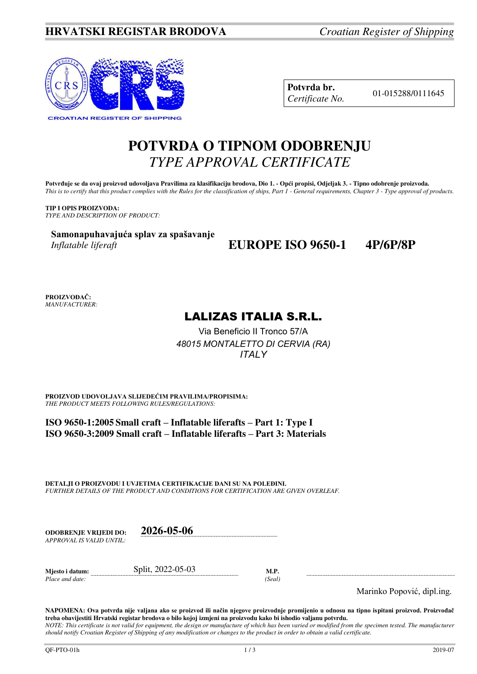### **HRVATSKI REGISTAR BRODOVA** *Croatian Register of Shipping*



**Potvrda br.** 01-015288/0111645 *Certificate No.* 

# **POTVRDA O TIPNOM ODOBRENJU**  *TYPE APPROVAL CERTIFICATE*

Potvrđuje se da ovaj proizvod udovoljava Pravilima za klasifikaciju brodova, Dio 1. - Opći propisi, Odjeljak 3. - Tipno odobrenje proizvoda. *This is to certify that this product complies with the Rules for the classification of ships, Part 1 - General requirements, Chapter 3 - Type approval of products.* 

**TIP I OPIS PROIZVODA:** *TYPE AND DESCRIPTION OF PRODUCT:* 

**Samonapuhavajuća splav za spašavanje** *Inflatable liferaft* 

## **EUROPE ISO 9650-1 4P/6P/8P**

**PROIZVOĐAČ:** *MANUFACTURER:*

## LALIZAS ITALIA S.R.L.

Via Beneficio II Tronco 57/A *48015 MONTALETTO DI CERVIA (RA) ITALY* 

**PROIZVOD UDOVOLJAVA SLIJEDEĆIM PRAVILIMA/PROPISIMA:** *THE PRODUCT MEETS FOLLOWING RULES/REGULATIONS:* 

**ISO 9650-1:2005 Small craft – Inflatable liferafts – Part 1: Type I ISO 9650-3:2009 Small craft – Inflatable liferafts – Part 3: Materials**

**DETALJI O PROIZVODU I UVJETIMA CERTIFIKACIJE DANI SU NA POLEĐINI.** *FURTHER DETAILS OF THE PRODUCT AND CONDITIONS FOR CERTIFICATION ARE GIVEN OVERLEAF.* 

| ODOBREN.IE VRLIEDI DO:   | 2026-05-06 |
|--------------------------|------------|
| APPROVAL IS VALID UNTIL: |            |

| Mjesto i datum: | 2022-05-03<br>Split |       |
|-----------------|---------------------|-------|
| Place and date: |                     | Seal' |

Marinko Popović, dipl.ing.

**NAPOMENA: Ova potvrda nije valjana ako se proizvod ili način njegove proizvodnje promijenio u odnosu na tipno ispitani proizvod. Proizvođač treba obavijestiti Hrvatski registar brodova o bilo kojoj izmjeni na proizvodu kako bi ishodio valjanu potvrdu.**  *NOTE: This certificate is not valid for equipment, the design or manufacture of which has been varied or modified from the specimen tested. The manufacturer should notify Croatian Register of Shipping of any modification or changes to the product in order to obtain a valid certificate.*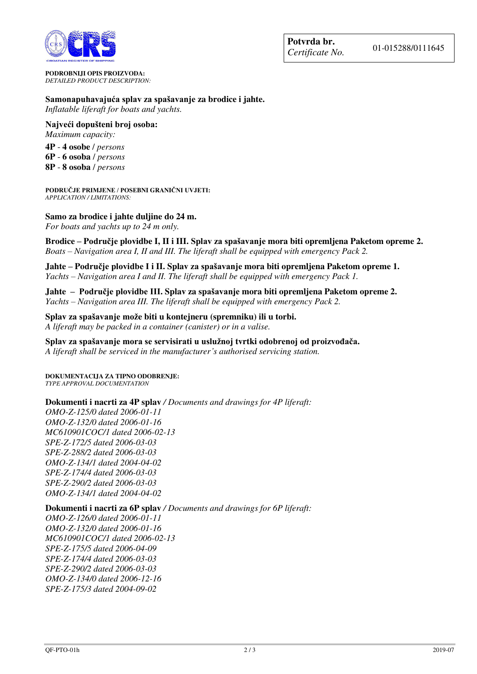

**PODROBNIJI OPIS PROIZVODA:** *DETAILED PRODUCT DESCRIPTION:* 

**Samonapuhavajuća splav za spašavanje za brodice i jahte.**  *Inflatable liferaft for boats and yachts.* 

**Najveći dopušteni broj osoba:** 

*Maximum capacity:* 

**4P** - **4 osobe** / *persons*

**6P** - **6 osoba** / *persons* 

**8P** - **8 osoba** / *persons*

**PODRUČJE PRIMJENE / POSEBNI GRANIČNI UVJETI:** *APPLICATION / LIMITATIONS:* 

### **Samo za brodice i jahte duljine do 24 m.**

*For boats and yachts up to 24 m only.* 

**Brodice – Područje plovidbe I, II i III. Splav za spašavanje mora biti opremljena Paketom opreme 2.**  *Boats – Navigation area I, II and III. The liferaft shall be equipped with emergency Pack 2.* 

**Jahte – Područje plovidbe I i II. Splav za spašavanje mora biti opremljena Paketom opreme 1.**  *Yachts – Navigation area I and II. The liferaft shall be equipped with emergency Pack 1.*

**Jahte – Područje plovidbe III. Splav za spašavanje mora biti opremljena Paketom opreme 2.**  *Yachts – Navigation area III. The liferaft shall be equipped with emergency Pack 2.* 

**Splav za spašavanje može biti u kontejneru (spremniku) ili u torbi.** 

*A liferaft may be packed in a container (canister) or in a valise.*

**Splav za spašavanje mora se servisirati u uslužnoj tvrtki odobrenoj od proizvođača.**

*A liferaft shall be serviced in the manufacturer's authorised servicing station.*

**DOKUMENTACIJA ZA TIPNO ODOBRENJE:** *TYPE APPROVAL DOCUMENTATION*

#### **Dokumenti i nacrti za 4P splav** */ Documents and drawings for 4P liferaft:*

*OMO-Z-125/0 dated 2006-01-11 OMO-Z-132/0 dated 2006-01-16 MC610901COC/1 dated 2006-02-13 SPE-Z-172/5 dated 2006-03-03 SPE-Z-288/2 dated 2006-03-03 OMO-Z-134/1 dated 2004-04-02 SPE-Z-174/4 dated 2006-03-03 SPE-Z-290/2 dated 2006-03-03 OMO-Z-134/1 dated 2004-04-02* 

#### **Dokumenti i nacrti za 6P splav** */ Documents and drawings for 6P liferaft:*

*OMO-Z-126/0 dated 2006-01-11 OMO-Z-132/0 dated 2006-01-16 MC610901COC/1 dated 2006-02-13 SPE-Z-175/5 dated 2006-04-09 SPE-Z-174/4 dated 2006-03-03 SPE-Z-290/2 dated 2006-03-03 OMO-Z-134/0 dated 2006-12-16 SPE-Z-175/3 dated 2004-09-02*